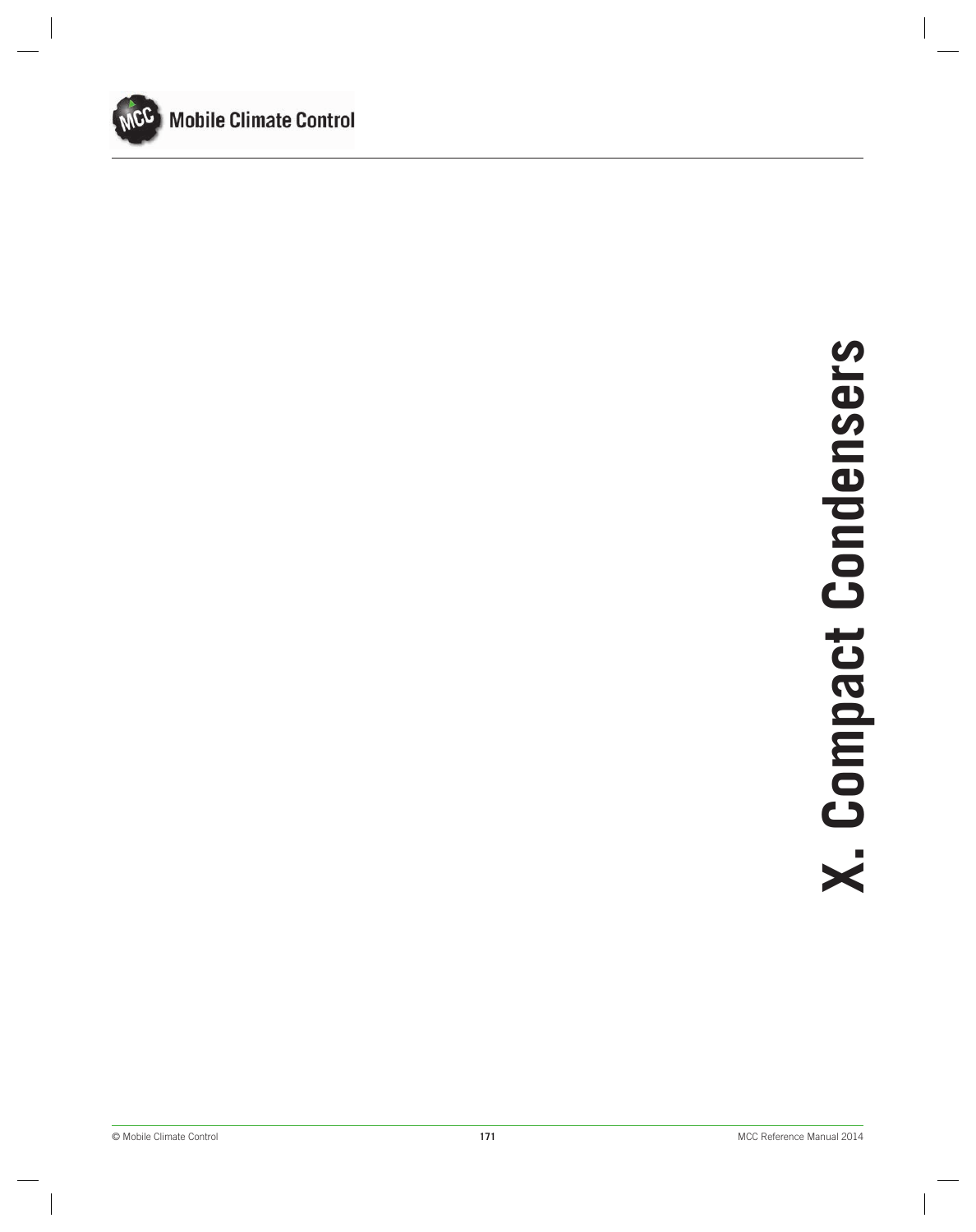

# © Mobile Climate Control **171** MCC Reference Manual 2014**X. Compact Condensers**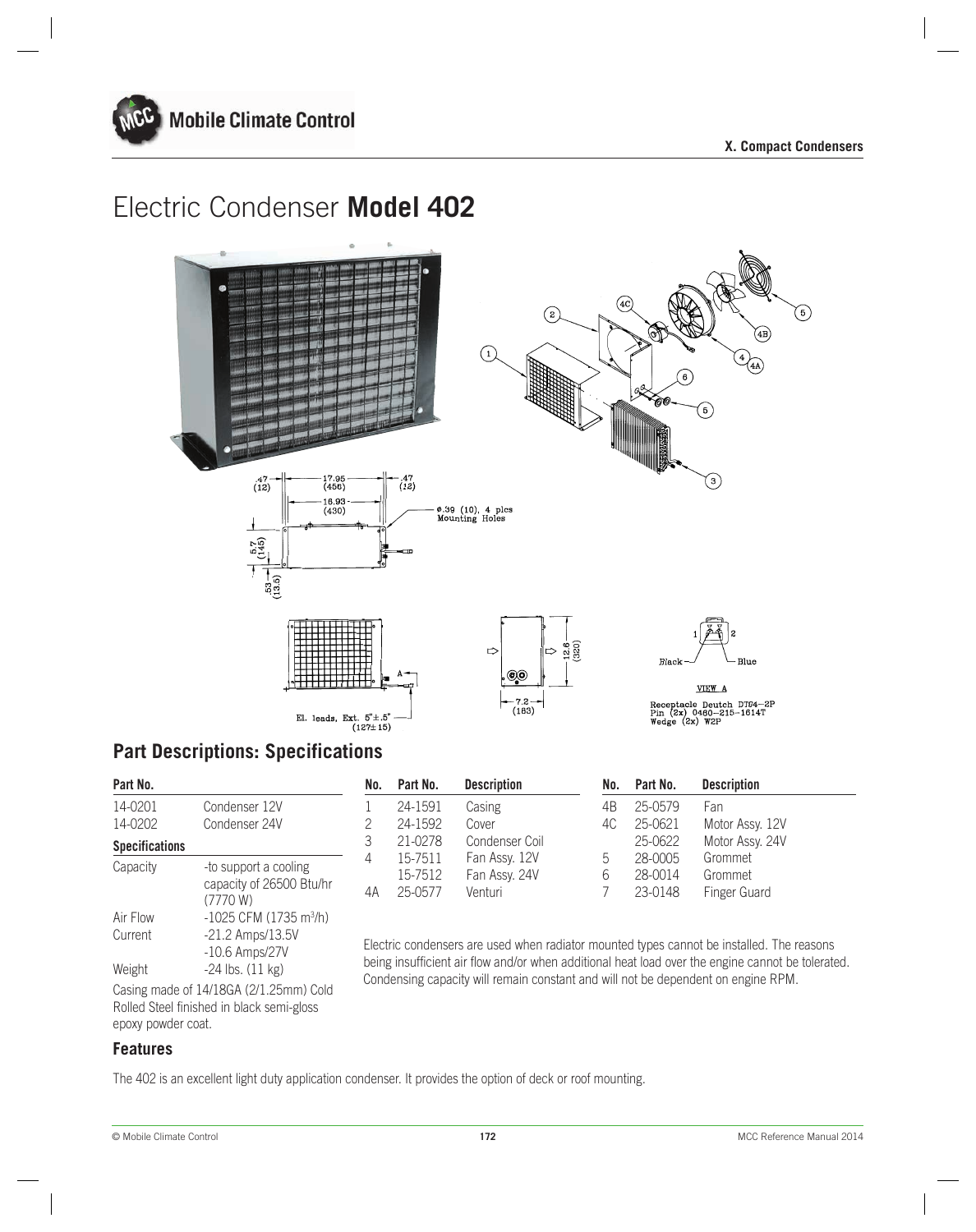



# **Part Descriptions: Specifications**

| Part No.              |                                                                                     |
|-----------------------|-------------------------------------------------------------------------------------|
| 14-0201               | Condenser 12V                                                                       |
| 14-0202               | Condenser 24V                                                                       |
| <b>Specifications</b> |                                                                                     |
| Capacity              | -to support a cooling<br>capacity of 26500 Btu/hr                                   |
|                       | (7770 W)                                                                            |
| Air Flow              | $-1025$ CFM (1735 m <sup>3</sup> /h)                                                |
| Current               | $-21.2$ Amps/13.5V                                                                  |
|                       | $-10.6$ Amps/27V                                                                    |
| Weight                | $-24$ lbs. $(11 \text{ kg})$                                                        |
|                       | Casing made of 14/18GA (2/1.25mm) Cold<br>Rolled Steel finished in black semi-gloss |
| epoxy powder coat.    |                                                                                     |

**Part No. No. Part No. Description No. Part No. Description** 1 2 3 4 4A 4B  $4C$ 5 6 7 24-1591 24-1592 21-0278 15-7511 15-7512 25-0577 25-0579 25-0621 25-0622 28-0005 28-0014 23-0148 Casing Cover Condenser Coil Fan Assy. 12V Fan Assy. 24V Venturi Fan Motor Assy. 12V Motor Assy. 24V Grommet Grommet Finger Guard

> Electric condensers are used when radiator mounted types cannot be installed. The reasons being insufficient air flow and/or when additional heat load over the engine cannot be tolerated. Condensing capacity will remain constant and will not be dependent on engine RPM.

# **Features**

The 402 is an excellent light duty application condenser. It provides the option of deck or roof mounting.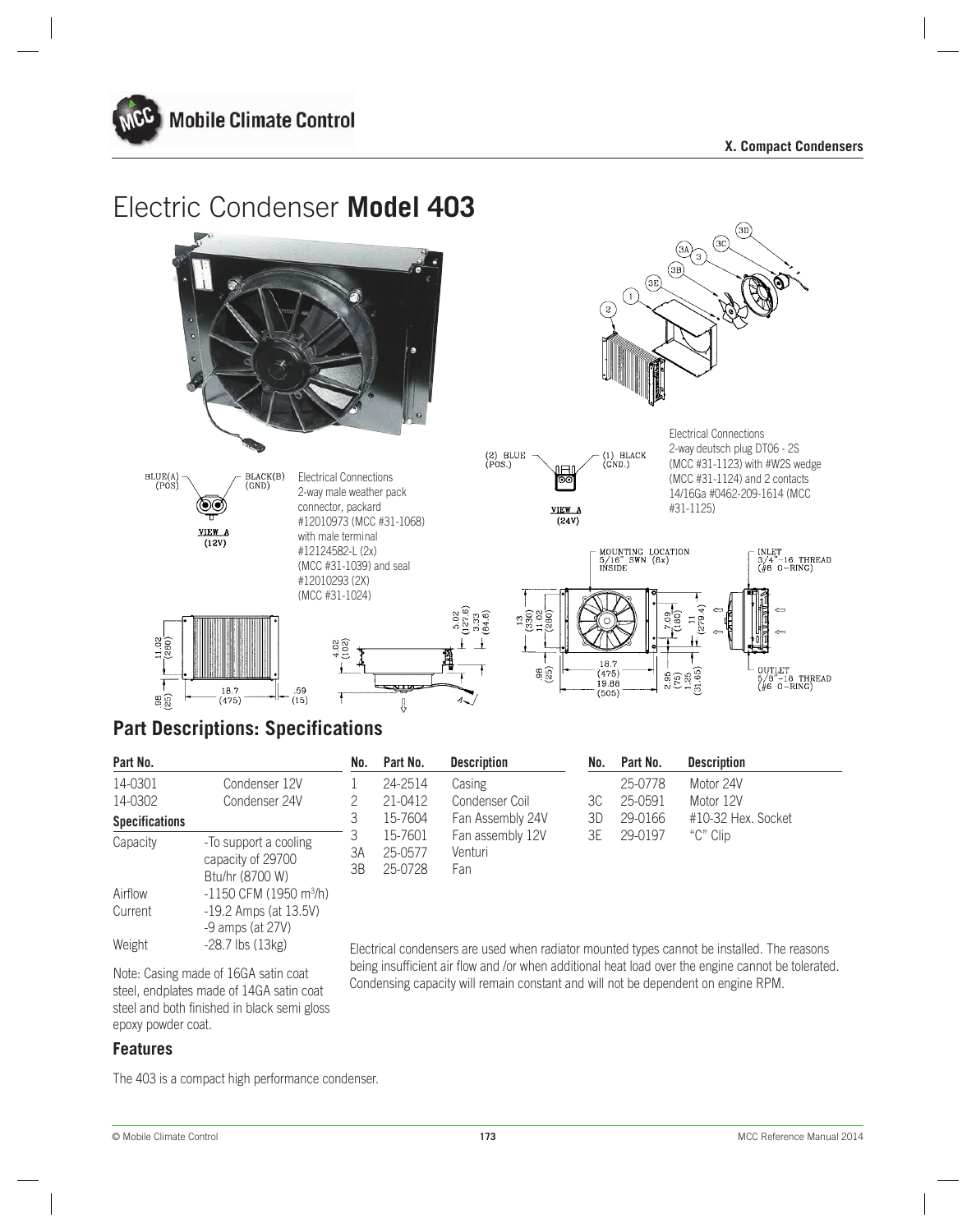



# **Part Descriptions: Specifications**

| Part No.              |                                                               | No.      | Part No.                      | <b>Description</b>                 | No. | Part No. | <b>Description</b> |
|-----------------------|---------------------------------------------------------------|----------|-------------------------------|------------------------------------|-----|----------|--------------------|
| 14-0301               | Condenser 12V                                                 |          | 24-2514                       | Casing                             |     | 25-0778  | Motor 24V          |
| 14-0302               | Condenser 24V                                                 |          | 21-0412                       | Condenser Coil                     | ЗC  | 25-0591  | Motor 12V          |
| <b>Specifications</b> |                                                               |          | 15-7604                       | Fan Assembly 24V                   | ЗD  | 29-0166  | #10-32 Hex. Socket |
| Capacity              | -To support a cooling<br>capacity of 29700<br>Btu/hr (8700 W) | ЗΑ<br>ЗB | 15-7601<br>25-0577<br>25-0728 | Fan assembly 12V<br>Venturi<br>Fan | ЗE  | 29-0197  | "C" Clip           |

Electrical condensers are used when radiator mounted types cannot be installed. The reasons being insufficient air flow and /or when additional heat load over the engine cannot be tolerated. Condensing capacity will remain constant and will not be dependent on engine RPM.

Note: Casing made of 16GA satin coat steel, endplates made of 14GA satin coat steel and both finished in black semi gloss epoxy powder coat.

Airflow -1150 CFM (1950 m<sup>3</sup>/h) Current -19.2 Amps (at 13.5V)

Weight -28.7 lbs (13kg)

### **Features**

The 403 is a compact high performance condenser.

-9 amps (at 27V)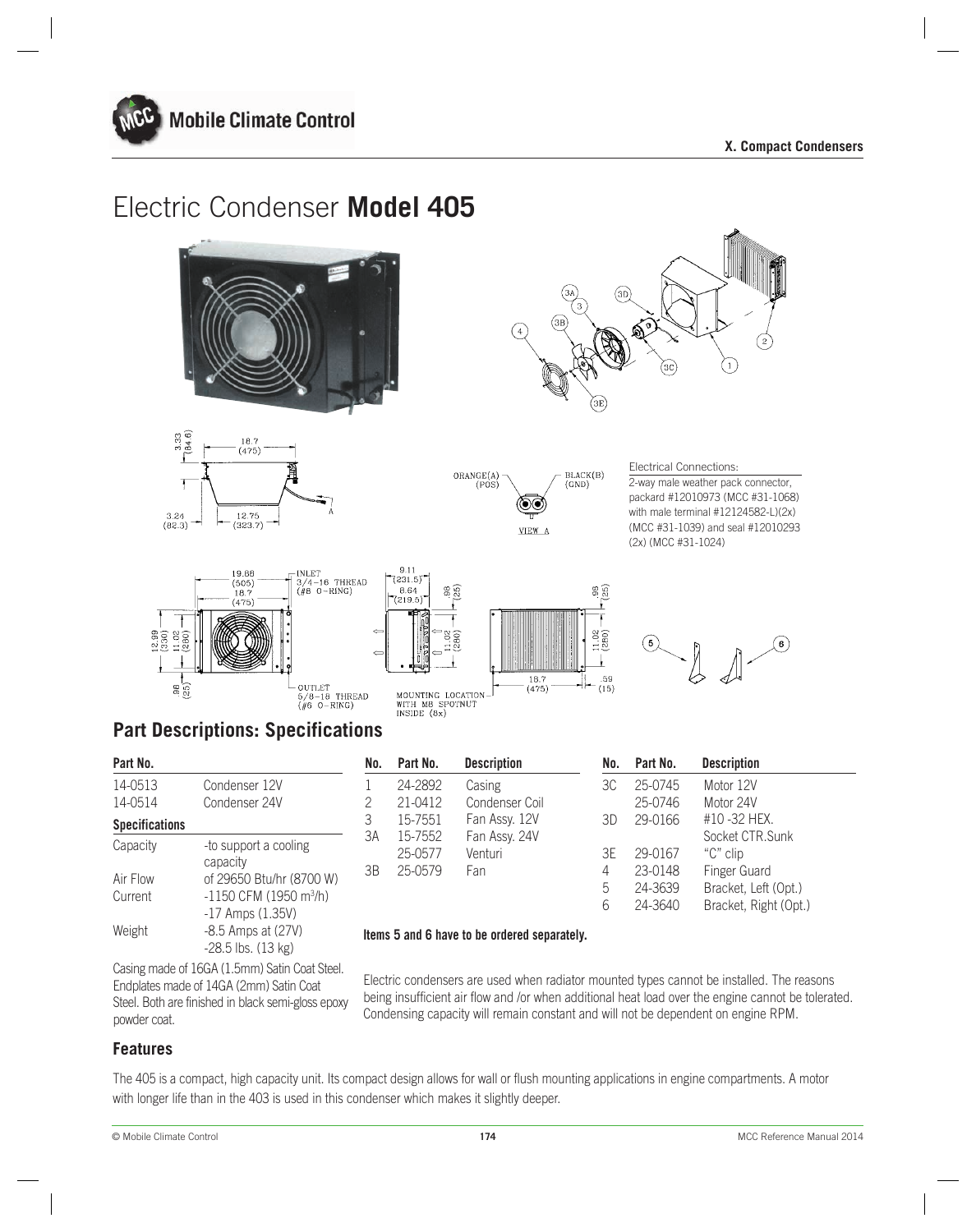









### Electrical Connections:

2-way male weather pack connector, packard #12010973 (MCC #31-1068) with male terminal #12124582-L)(2x) (MCC #31-1039) and seal #12010293 (2x) (MCC #31-1024)







# **Part Descriptions: Specifications**

| Part No.              |                                    |  |  |  |  |  |
|-----------------------|------------------------------------|--|--|--|--|--|
| 14-0513               | Condenser 12V                      |  |  |  |  |  |
| 14-0514               | Condenser 24V                      |  |  |  |  |  |
| <b>Specifications</b> |                                    |  |  |  |  |  |
| Capacity              | -to support a cooling              |  |  |  |  |  |
|                       | capacity                           |  |  |  |  |  |
| Air Flow              | of 29650 Btu/hr (8700 W)           |  |  |  |  |  |
| Current               | -1150 CFM (1950 m <sup>3</sup> /h) |  |  |  |  |  |
|                       | $-17$ Amps $(1.35V)$               |  |  |  |  |  |
| Weight                | -8.5 Amps at (27V)                 |  |  |  |  |  |
|                       | $-28.5$ lbs. $(13 \text{ kg})$     |  |  |  |  |  |
|                       |                                    |  |  |  |  |  |

| Part No.              |                                                            | No. | Part No. | <b>Description</b> | No. | Part No. | <b>Description</b>    |
|-----------------------|------------------------------------------------------------|-----|----------|--------------------|-----|----------|-----------------------|
| 14-0513               | Condenser 12V                                              |     | 24-2892  | Casing             | ЗC  | 25-0745  | Motor 12V             |
| 14-0514               | Condenser 24V                                              |     | 21-0412  | Condenser Coil     |     | 25-0746  | Motor 24V             |
| <b>Specifications</b> |                                                            | 3   | 15-7551  | Fan Assy. 12V      | 3D  | 29-0166  | #10 -32 HEX.          |
| Capacity              |                                                            | 3A  | 15-7552  | Fan Assy. 24V      |     |          | Socket CTR.Sunk       |
|                       | -to support a cooling                                      |     | 25-0577  | Venturi            | ЗE  | 29-0167  | "C" clip              |
|                       | capacity                                                   | ЗB  | 25-0579  | Fan                | 4   | 23-0148  | Finger Guard          |
| Air Flow              | of 29650 Btu/hr (8700 W)                                   |     |          |                    | 5   | 24-3639  | Bracket, Left (Opt.)  |
| Current               | $-1150$ CFM (1950 m <sup>3</sup> /h)<br>$17$ Ampc $(1.35)$ |     |          |                    | 6   | 24-3640  | Bracket, Right (Opt.) |

### **Items 5 and 6 have to be ordered separately.**

Casing made of 16GA (1.5mm) Satin Coat Steel. Endplates made of 14GA (2mm) Satin Coat Steel. Both are finished in black semi-gloss epoxy powder coat.

Electric condensers are used when radiator mounted types cannot be installed. The reasons being insufficient air flow and /or when additional heat load over the engine cannot be tolerated. Condensing capacity will remain constant and will not be dependent on engine RPM.

# **Features**

The 405 is a compact, high capacity unit. Its compact design allows for wall or flush mounting applications in engine compartments. A motor with longer life than in the 403 is used in this condenser which makes it slightly deeper.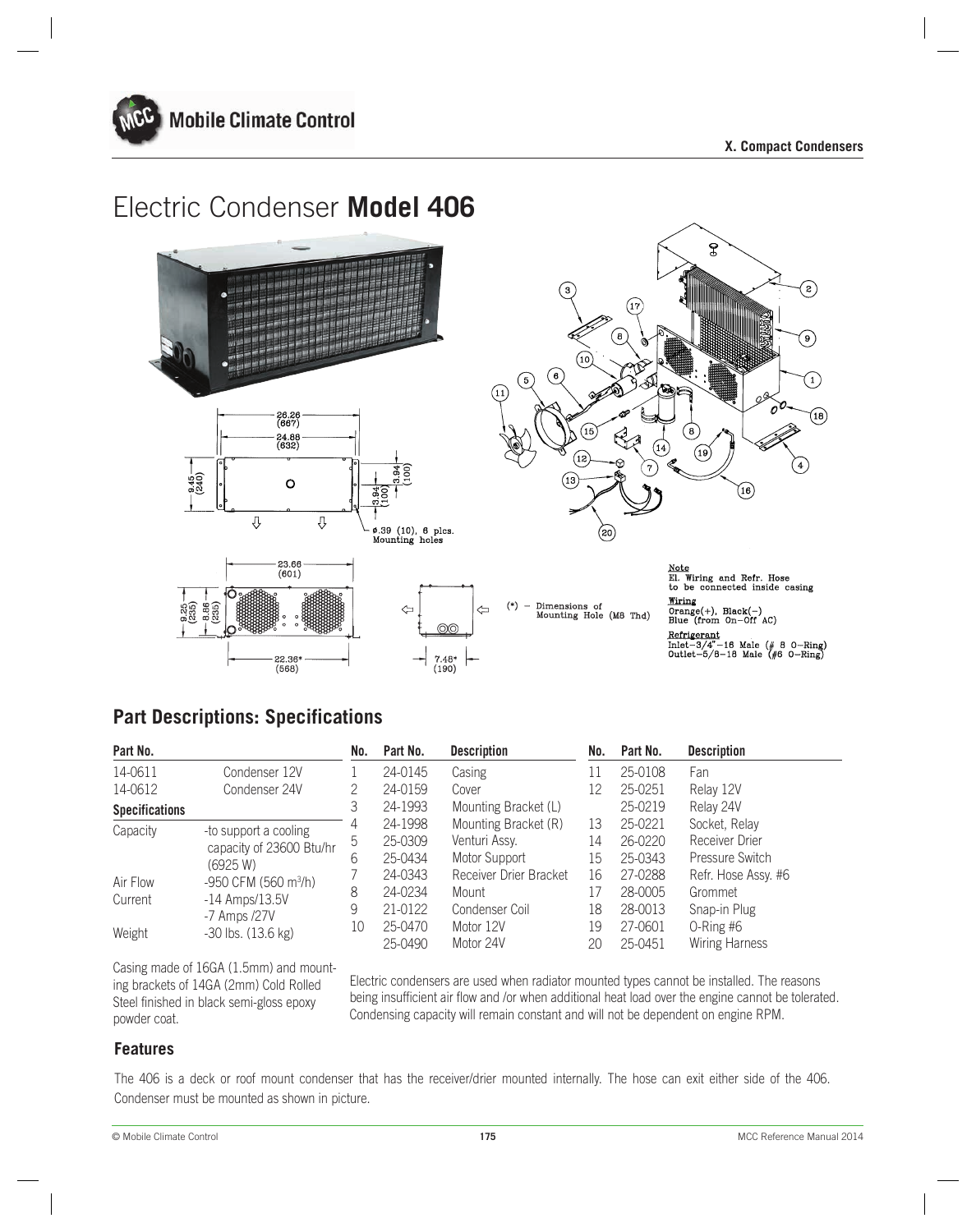





 $(*)$ Dimensions of Mounting Hole (M8 Thd)

Note<br>El. Wiring and Refr. Hose<br>to be connected inside casing<br>Wiring Wiring  $\overline{Orange(+)}$ , Black(-)<br>Blue (from On-Off AC) Refrigerant<br>Inlet-3/4"-16 Male (# 8 0-Ring)<br>Outlet-5/8-18 Male (#6 0-Ring)

# **Part Descriptions: Specifications**

 $(568)$ 

| Part No.              |                                  | No. | Part No. | <b>Description</b>     | No. | Part No. | <b>Description</b>  |
|-----------------------|----------------------------------|-----|----------|------------------------|-----|----------|---------------------|
| 14-0611               | Condenser 12V                    |     | 24-0145  | Casing                 | 11  | 25-0108  | Fan                 |
| 14-0612               | Condenser 24V                    | 2   | 24-0159  | Cover                  | 12  | 25-0251  | Relay 12V           |
| <b>Specifications</b> |                                  | 3   | 24-1993  | Mounting Bracket (L)   |     | 25-0219  | Relay 24V           |
| Capacity              | -to support a cooling            | 4   | 24-1998  | Mounting Bracket (R)   | 13  | 25-0221  | Socket, Relay       |
|                       | capacity of 23600 Btu/hr         | 5   | 25-0309  | Venturi Assy.          | 14  | 26-0220  | Receiver Drier      |
|                       | (6925 W)                         | 6   | 25-0434  | Motor Support          | 15  | 25-0343  | Pressure Switch     |
| Air Flow              | -950 CFM (560 m <sup>3</sup> /h) |     | 24-0343  | Receiver Drier Bracket | 16  | 27-0288  | Refr. Hose Assy. #6 |
| Current               | $-14$ Amps/ $13.5V$              | 8   | 24-0234  | Mount                  | 17  | 28-0005  | Grommet             |
|                       | -7 Amps /27V                     | 9   | 21-0122  | Condenser Coil         | 18  | 28-0013  | Snap-in Plug        |
| Weight                | $-30$ lbs. $(13.6 \text{ kg})$   | 10  | 25-0470  | Motor 12V              | 19  | 27-0601  | $O-Ring\#6$         |
|                       |                                  |     | 25-0490  | Motor 24V              | 20  | 25-0451  | Wiring Harness      |

Casing made of 16GA (1.5mm) and mounting brackets of 14GA (2mm) Cold Rolled Steel finished in black semi-gloss epoxy powder coat.

Electric condensers are used when radiator mounted types cannot be installed. The reasons being insufficient air flow and /or when additional heat load over the engine cannot be tolerated. Condensing capacity will remain constant and will not be dependent on engine RPM.

### **Features**

The 406 is a deck or roof mount condenser that has the receiver/drier mounted internally. The hose can exit either side of the 406. Condenser must be mounted as shown in picture.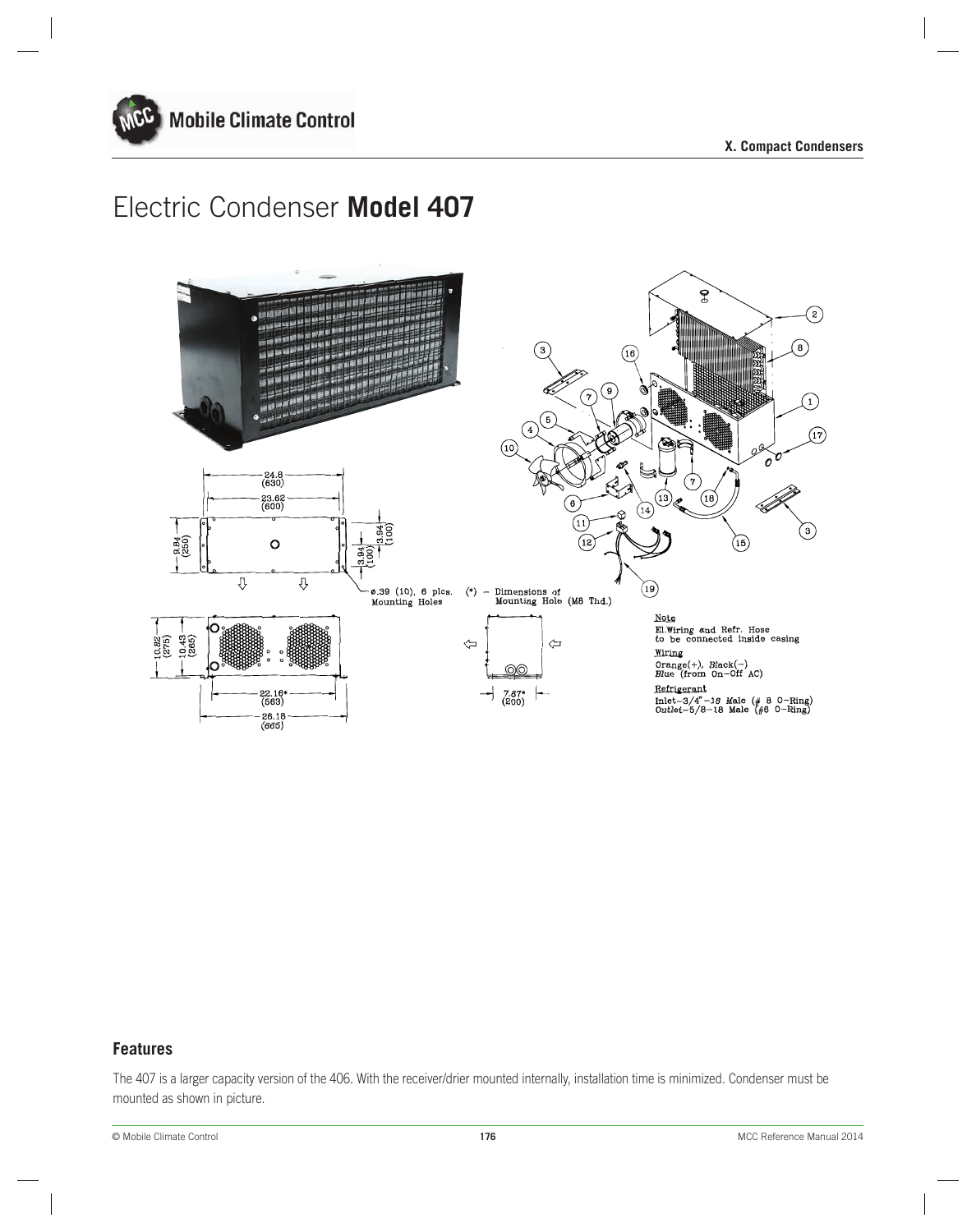



# **Features**

The 407 is a larger capacity version of the 406. With the receiver/drier mounted internally, installation time is minimized. Condenser must be mounted as shown in picture.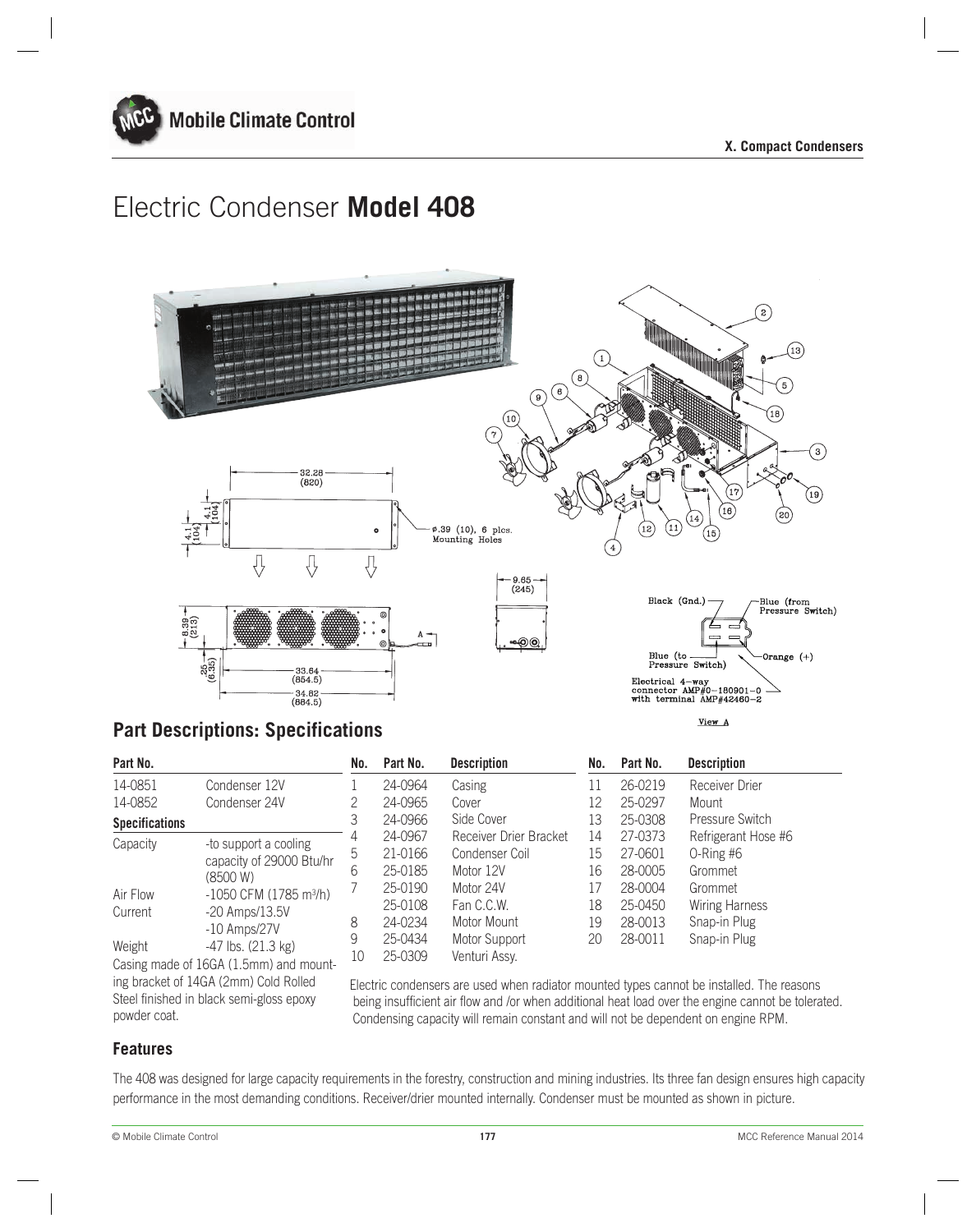



# **Part Descriptions: Specifications**

| Part No.              |                                        | No. | Part No. | <b>Description</b>     | No. | Part No. | <b>Description</b>                                                                        |
|-----------------------|----------------------------------------|-----|----------|------------------------|-----|----------|-------------------------------------------------------------------------------------------|
| 14-0851               | Condenser 12V                          |     | 24-0964  | Casing                 | 11  | 26-0219  | Receiver Drier                                                                            |
| 14-0852               | Condenser 24V                          | 2   | 24-0965  | Cover                  | 12  | 25-0297  | Mount                                                                                     |
| <b>Specifications</b> |                                        | 3   | 24-0966  | Side Cover             | 13  | 25-0308  | <b>Pressure Switch</b>                                                                    |
| Capacity              | -to support a cooling                  | 4   | 24-0967  | Receiver Drier Bracket | 14  | 27-0373  | Refrigerant Hose #6                                                                       |
|                       | capacity of 29000 Btu/hr               | 5   | 21-0166  | Condenser Coil         | 15  | 27-0601  | $O-Ring\#6$                                                                               |
|                       | (8500 W)                               | b   | 25-0185  | Motor 12V              | 16  | 28-0005  | Grommet                                                                                   |
| Air Flow              | $-1050$ CFM (1785 m <sup>3</sup> /h)   |     | 25-0190  | Motor 24V              | 17  | 28-0004  | Grommet                                                                                   |
| Current               | $-20$ Amps/13.5V                       |     | 25-0108  | Fan C.C.W.             | 18  | 25-0450  | <b>Wiring Harness</b>                                                                     |
|                       | $-10$ Amps/27V                         | 8   | 24-0234  | Motor Mount            | 19  | 28-0013  | Snap-in Plug                                                                              |
| Weight                | $-47$ lbs. $(21.3 \text{ kg})$         | 9   | 25-0434  | Motor Support          | 20  | 28-0011  | Snap-in Plug                                                                              |
|                       | Casing made of 16GA (1.5mm) and mount- | 10  | 25-0309  | Venturi Assy.          |     |          |                                                                                           |
|                       | ing bracket of 14GA (2mm) Cold Rolled  |     |          |                        |     |          | Electric condensers are used when radiator mounted types cannot be installed. The reasons |

Electric condensers are used when radiator mounted types cannot be installed. The reasons being insufficient air flow and /or when additional heat load over the engine cannot be tolerated. Condensing capacity will remain constant and will not be dependent on engine RPM.

# **Features**

powder coat.

The 408 was designed for large capacity requirements in the forestry, construction and mining industries. Its three fan design ensures high capacity performance in the most demanding conditions. Receiver/drier mounted internally. Condenser must be mounted as shown in picture.

Steel finished in black semi-gloss epoxy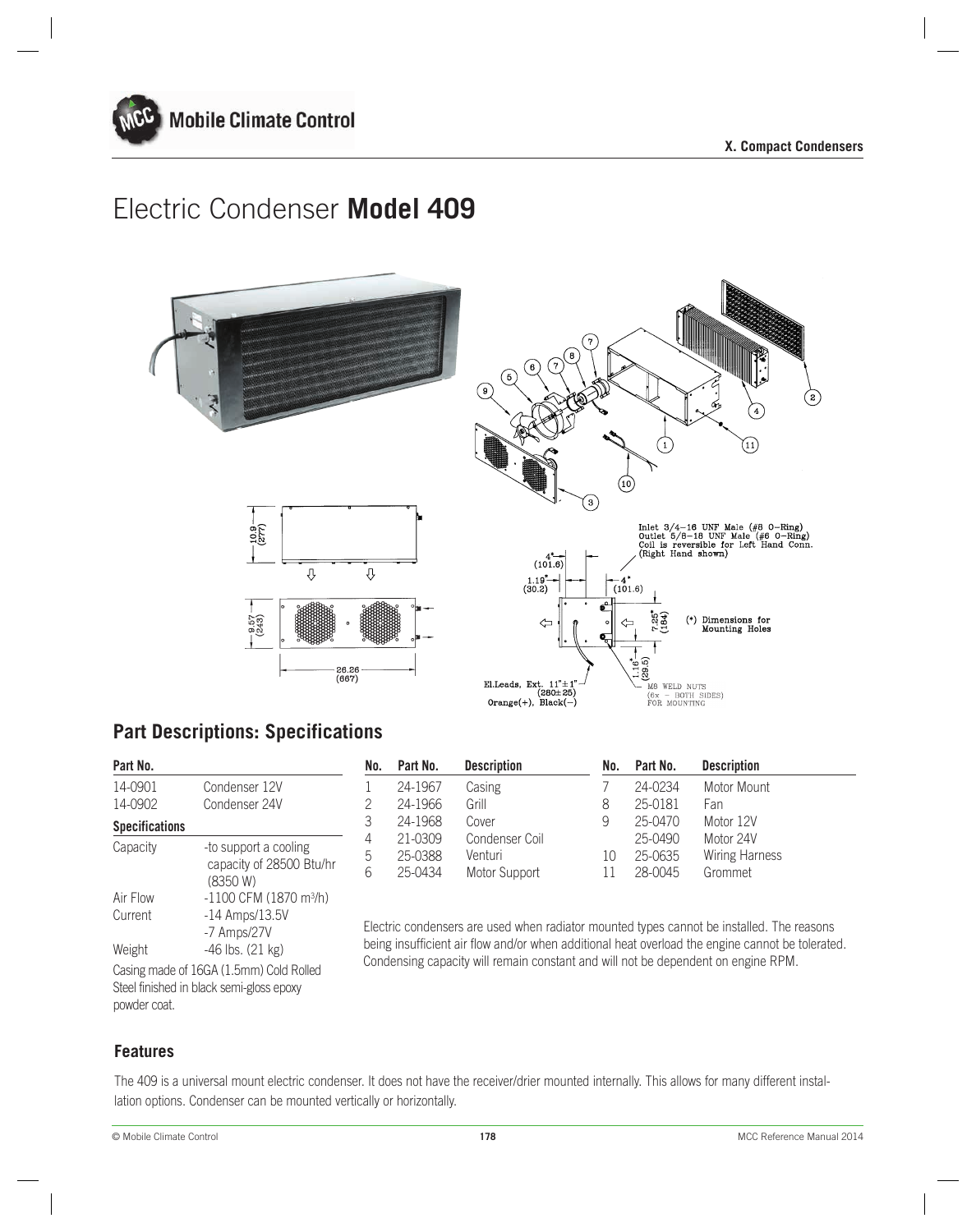



# **Part Descriptions: Specifications**

| Part No.              |                                          |
|-----------------------|------------------------------------------|
| 14-0901               | Condenser 12V                            |
| 14-0902               | Condenser 24V                            |
| <b>Specifications</b> |                                          |
| Capacity              | -to support a cooling                    |
|                       | capacity of 28500 Btu/hr                 |
|                       | (8350 W)                                 |
| Air Flow              | $-1100$ CFM (1870 m <sup>3</sup> /h)     |
| Current               | $-14$ Amps/ $13.5V$                      |
|                       | -7 Amps/27V                              |
| Weight                | -46 lbs. (21 kg)                         |
|                       | Casing made of 16GA (1.5mm) Cold Rolled  |
|                       | Steel finished in black semi-gloss epoxy |

|               |                                                   |         |                |                    |         | <b>Description</b>  |
|---------------|---------------------------------------------------|---------|----------------|--------------------|---------|---------------------|
| Condenser 12V |                                                   | 24-1967 | Casing         |                    | 24-0234 | Motor Mount         |
| Condenser 24V |                                                   | 24-1966 | Grill          | 8                  | 25-0181 | Fan                 |
|               |                                                   | 24-1968 | Cover          | 9                  | 25-0470 | Motor 12V           |
|               |                                                   | 21-0309 | Condenser Coil |                    |         | Motor 24V           |
|               | b                                                 | 25-0388 | Venturi        | 10                 | 25-0635 | Wiring Harness      |
| (8350 W)      | h                                                 | 25-0434 | Motor Support  |                    | 28-0045 | Grommet             |
|               | -to support a cooling<br>capacity of 28500 Btu/hr | No.     | Part No.       | <b>Description</b> | No.     | Part No.<br>25-0490 |

Electric condensers are used when radiator mounted types cannot be installed. The reasons being insufficient air flow and/or when additional heat overload the engine cannot be tolerated. Condensing capacity will remain constant and will not be dependent on engine RPM.

**Features**

powder coat.

The 409 is a universal mount electric condenser. It does not have the receiver/drier mounted internally. This allows for many different installation options. Condenser can be mounted vertically or horizontally.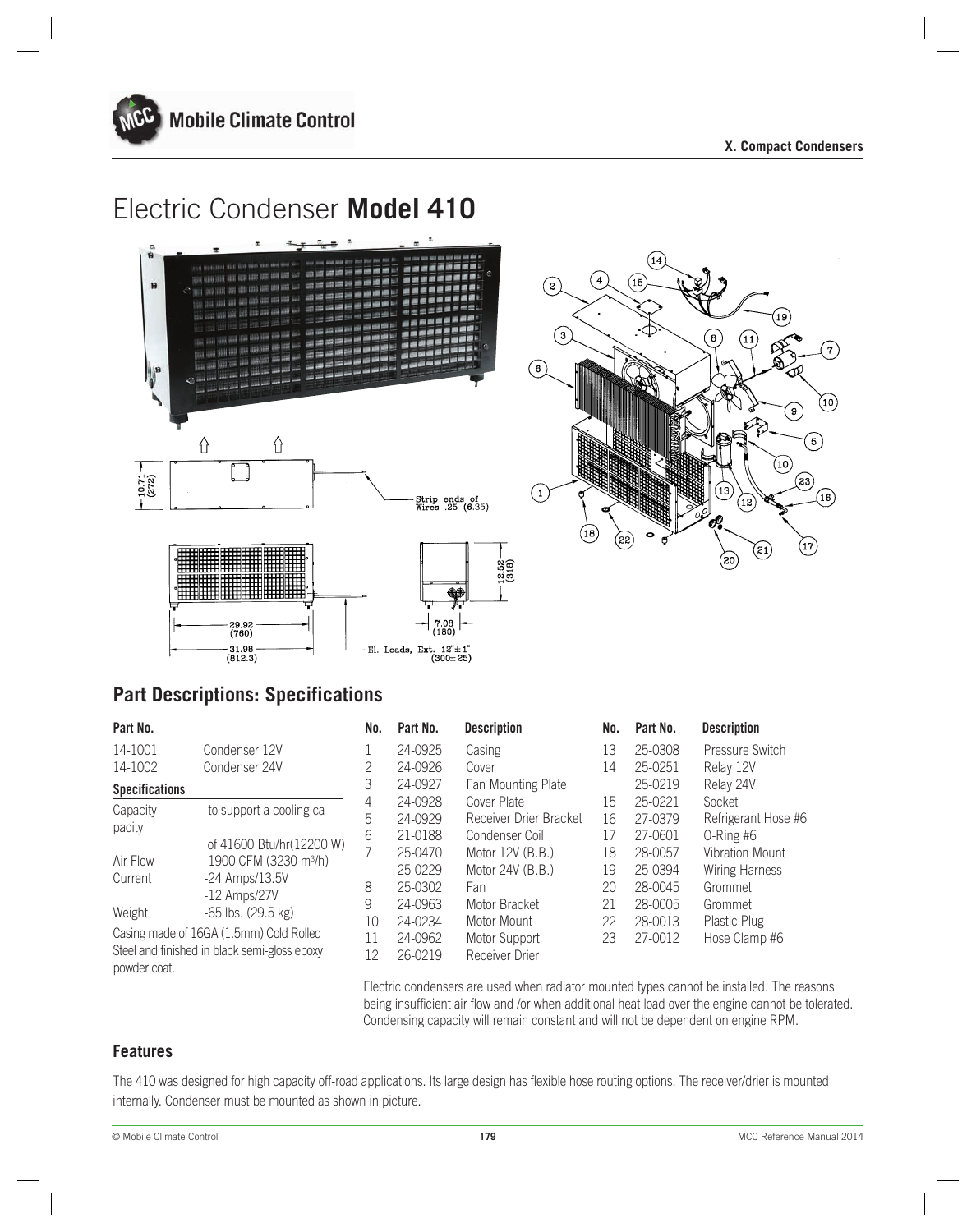





# **Part Descriptions: Specifications**

| Part No.                                |                                              | No. | Part No. | <b>Description</b>        | No. | Part No. | <b>Description</b>    |
|-----------------------------------------|----------------------------------------------|-----|----------|---------------------------|-----|----------|-----------------------|
| 14-1001                                 | Condenser 12V                                |     | 24-0925  | Casing                    | 13  | 25-0308  | Pressure Switch       |
| 14-1002                                 | Condenser 24V                                | 2   | 24-0926  | Cover                     | 14  | 25-0251  | Relay 12V             |
| <b>Specifications</b>                   |                                              | 3   | 24-0927  | <b>Fan Mounting Plate</b> |     | 25-0219  | Relay 24V             |
| Capacity                                | -to support a cooling ca-                    | 4   | 24-0928  | Cover Plate               | 15  | 25-0221  | Socket                |
|                                         |                                              | 5   | 24-0929  | Receiver Drier Bracket    | 16  | 27-0379  | Refrigerant Hose #6   |
| pacity                                  | of 41600 Btu/hr(12200 W)                     | 6   | 21-0188  | Condenser Coil            | 17  | 27-0601  | $O-Ring\#6$           |
| Air Flow                                | $-1900$ CFM (3230 m <sup>3</sup> /h)         |     | 25-0470  | Motor 12V (B.B.)          | 18  | 28-0057  | Vibration Mount       |
| Current                                 |                                              |     | 25-0229  | Motor 24V (B.B.)          | 19  | 25-0394  | <b>Wiring Harness</b> |
|                                         | $-24$ Amps/13.5V                             | 8   | 25-0302  | Fan                       | 20  | 28-0045  | Grommet               |
| Weight                                  | $-12$ Amps/27V<br>$-65$ lbs. (29.5 kg)       | 9   | 24-0963  | Motor Bracket             | 21  | 28-0005  | Grommet               |
|                                         |                                              | 10  | 24-0234  | Motor Mount               | 22  | 28-0013  | Plastic Plug          |
| Casing made of 16GA (1.5mm) Cold Rolled |                                              | 11  | 24-0962  | Motor Support             | 23  | 27-0012  | Hose Clamp #6         |
| powder coat.                            | Steel and finished in black semi-gloss epoxy | 12  | 26-0219  | <b>Receiver Drier</b>     |     |          |                       |

Electric condensers are used when radiator mounted types cannot be installed. The reasons being insufficient air flow and /or when additional heat load over the engine cannot be tolerated. Condensing capacity will remain constant and will not be dependent on engine RPM.

### **Features**

The 410 was designed for high capacity off-road applications. Its large design has flexible hose routing options. The receiver/drier is mounted internally. Condenser must be mounted as shown in picture.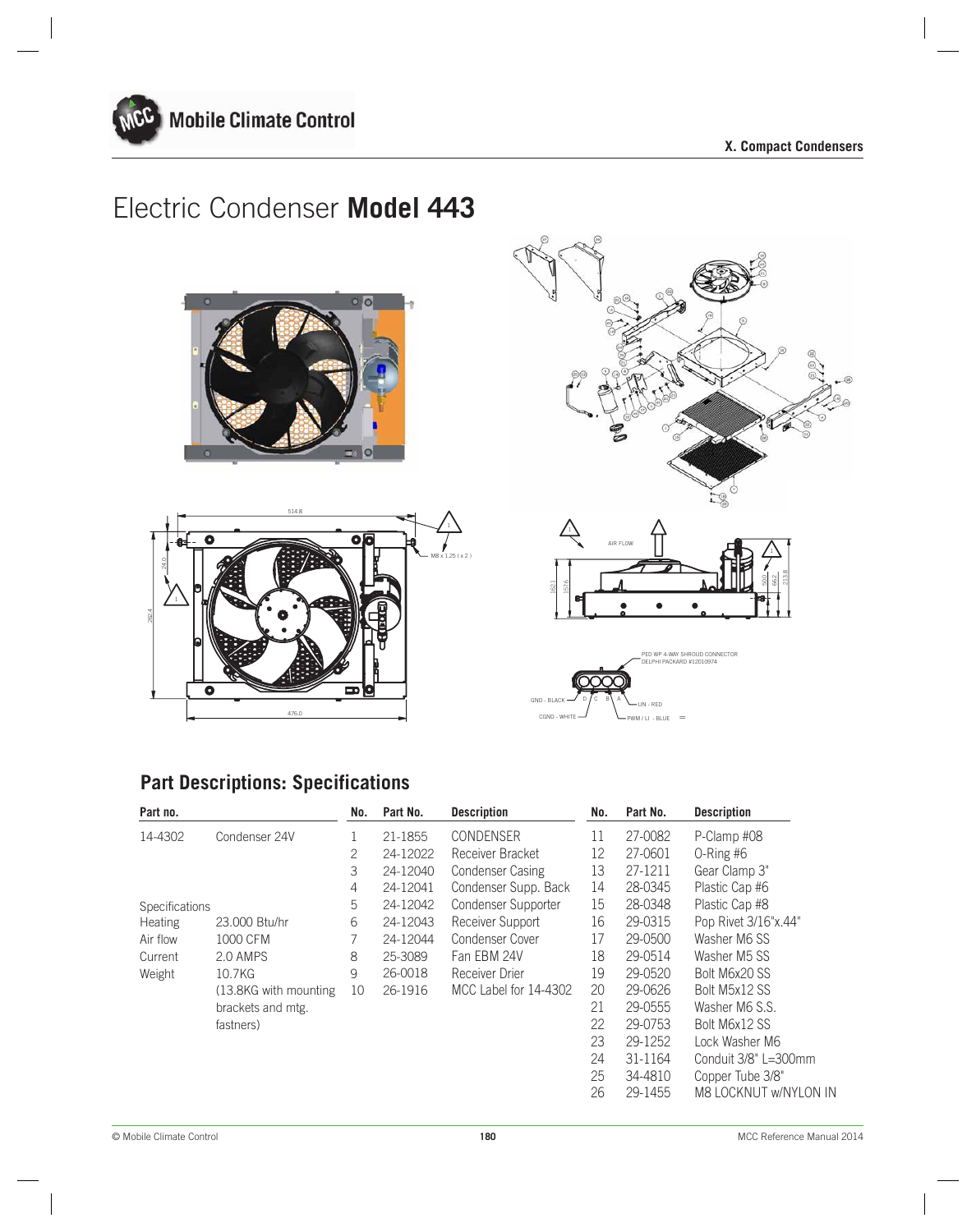







# **Part Descriptions: Specifications**

| Part no.       |                        | No. | Part No. | <b>Description</b>      | No. | Part No. | <b>Description</b>    |
|----------------|------------------------|-----|----------|-------------------------|-----|----------|-----------------------|
| 14-4302        | Condenser 24V          |     | 21-1855  | CONDENSER               | 11  | 27-0082  | P-Clamp #08           |
|                |                        | 2   | 24-12022 | Receiver Bracket        | 12  | 27-0601  | $O-Ring\#6$           |
|                |                        | 3   | 24-12040 | <b>Condenser Casing</b> | 13  | 27-1211  | Gear Clamp 3"         |
|                |                        | 4   | 24-12041 | Condenser Supp. Back    | 14  | 28-0345  | Plastic Cap #6        |
| Specifications |                        | 5   | 24-12042 | Condenser Supporter     | 15  | 28-0348  | Plastic Cap #8        |
| <b>Heating</b> | 23,000 Btu/hr          | 6   | 24-12043 | Receiver Support        | 16  | 29-0315  | Pop Rivet 3/16"x.44"  |
| Air flow       | 1000 CFM               | 7   | 24-12044 | Condenser Cover         | 17  | 29-0500  | Washer M6 SS          |
| Current        | 2.0 AMPS               | 8   | 25-3089  | Fan EBM 24V             | 18  | 29-0514  | Washer M5 SS          |
| Weight         | 10.7KG                 | 9   | 26-0018  | Receiver Drier          | 19  | 29-0520  | Bolt M6x20 SS         |
|                | (13.8KG with mounting) | 10  | 26-1916  | MCC Label for 14-4302   | 20  | 29-0626  | Bolt M5x12 SS         |
|                | brackets and mtg.      |     |          |                         | 21  | 29-0555  | Washer M6 S.S.        |
|                | fastners)              |     |          |                         | 22  | 29-0753  | Bolt M6x12 SS         |
|                |                        |     |          |                         | 23  | 29-1252  | Lock Washer M6        |
|                |                        |     |          |                         | 24  | 31-1164  | Conduit 3/8" L=300mm  |
|                |                        |     |          |                         | 25  | 34-4810  | Copper Tube 3/8"      |
|                |                        |     |          |                         | 26  | 29-1455  | M8 LOCKNUT w/NYLON IN |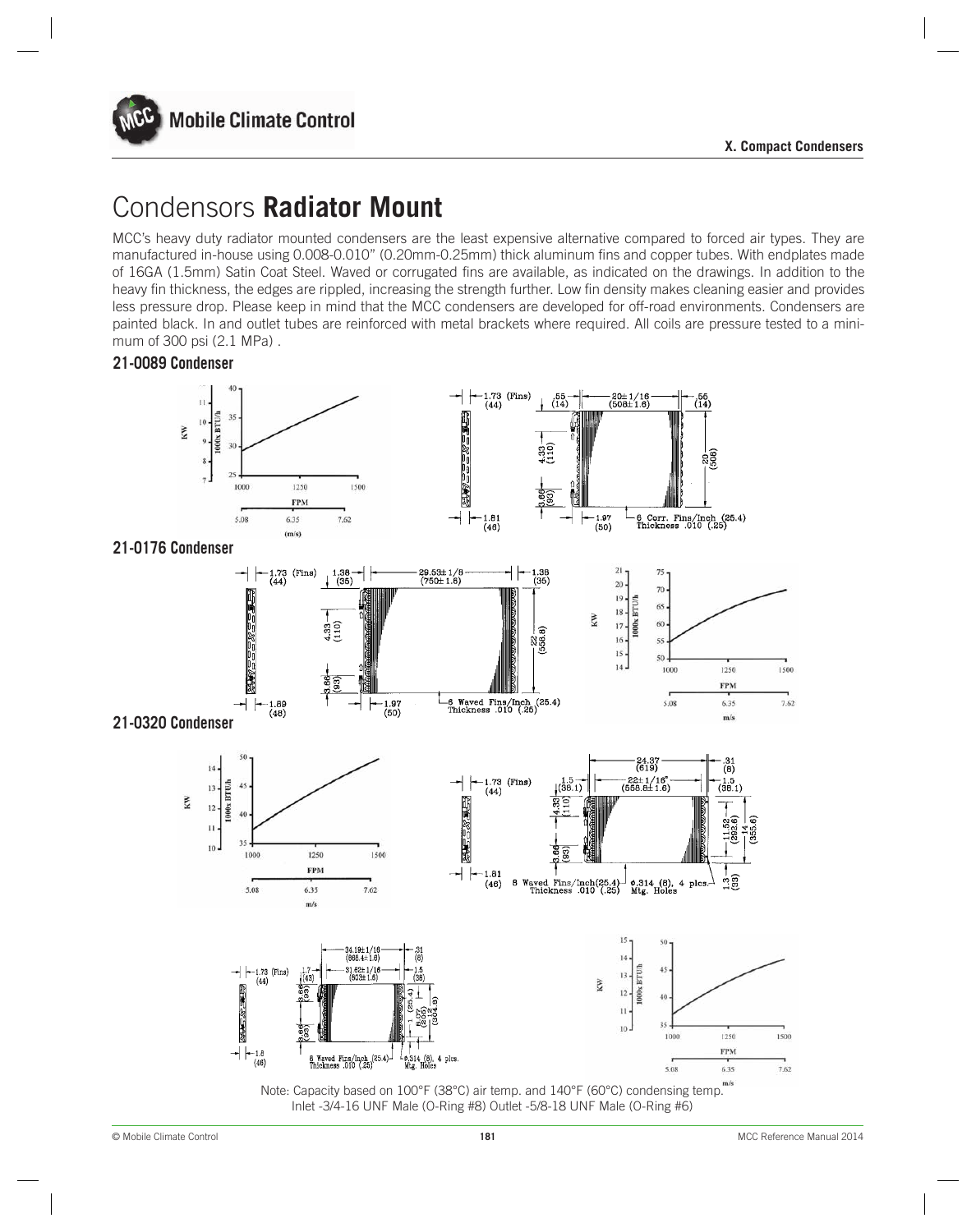

# Condensors **Radiator Mount**

MCC's heavy duty radiator mounted condensers are the least expensive alternative compared to forced air types. They are manufactured in-house using 0.008-0.010" (0.20mm-0.25mm) thick aluminum fins and copper tubes. With endplates made of 16GA (1.5mm) Satin Coat Steel. Waved or corrugated fins are available, as indicated on the drawings. In addition to the heavy fin thickness, the edges are rippled, increasing the strength further. Low fin density makes cleaning easier and provides less pressure drop. Please keep in mind that the MCC condensers are developed for off-road environments. Condensers are painted black. In and outlet tubes are reinforced with metal brackets where required. All coils are pressure tested to a minimum of 300 psi (2.1 MPa) .

### **21-0089 Condenser**